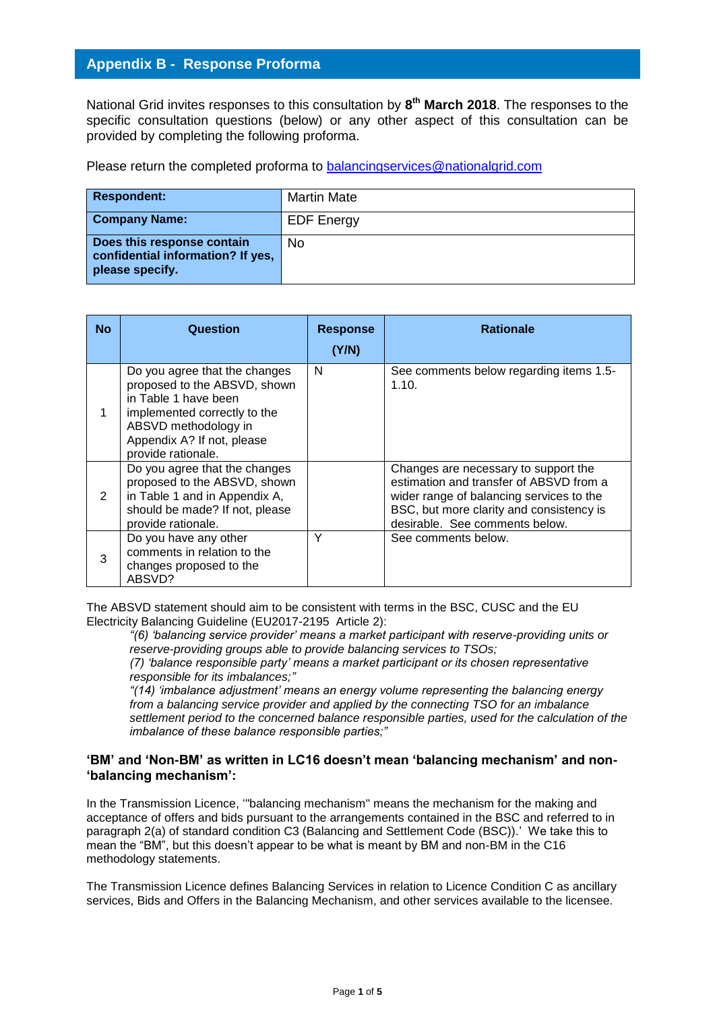# **Appendix B - Response Proforma**

National Grid invites responses to this consultation by **8 th March 2018**. The responses to the specific consultation questions (below) or any other aspect of this consultation can be provided by completing the following proforma.

Please return the completed proforma to [balancingservices@nationalgrid.com](mailto:balancingservices@nationalgrid.com)

| Respondent:                                                                        | <b>Martin Mate</b> |
|------------------------------------------------------------------------------------|--------------------|
| <b>Company Name:</b>                                                               | <b>EDF Energy</b>  |
| Does this response contain<br>confidential information? If yes,<br>please specify. | No                 |

| <b>No</b> | Question                                                                                                                                                                                          | <b>Response</b><br>(Y/N) | <b>Rationale</b>                                                                                                                                                                                          |
|-----------|---------------------------------------------------------------------------------------------------------------------------------------------------------------------------------------------------|--------------------------|-----------------------------------------------------------------------------------------------------------------------------------------------------------------------------------------------------------|
|           | Do you agree that the changes<br>proposed to the ABSVD, shown<br>in Table 1 have been<br>implemented correctly to the<br>ABSVD methodology in<br>Appendix A? If not, please<br>provide rationale. | N                        | See comments below regarding items 1.5-<br>1.10.                                                                                                                                                          |
| 2         | Do you agree that the changes<br>proposed to the ABSVD, shown<br>in Table 1 and in Appendix A,<br>should be made? If not, please<br>provide rationale.                                            |                          | Changes are necessary to support the<br>estimation and transfer of ABSVD from a<br>wider range of balancing services to the<br>BSC, but more clarity and consistency is<br>desirable. See comments below. |
| 3         | Do you have any other<br>comments in relation to the<br>changes proposed to the<br>ABSVD?                                                                                                         | Υ                        | See comments below.                                                                                                                                                                                       |

The ABSVD statement should aim to be consistent with terms in the BSC, CUSC and the EU Electricity Balancing Guideline (EU2017-2195 Article 2):

*"(6) 'balancing service provider' means a market participant with reserve-providing units or reserve-providing groups able to provide balancing services to TSOs;* 

*(7) 'balance responsible party' means a market participant or its chosen representative responsible for its imbalances;"*

*"(14) 'imbalance adjustment' means an energy volume representing the balancing energy from a balancing service provider and applied by the connecting TSO for an imbalance settlement period to the concerned balance responsible parties, used for the calculation of the imbalance of these balance responsible parties;"*

## **'BM' and 'Non-BM' as written in LC16 doesn't mean 'balancing mechanism' and non- 'balancing mechanism':**

In the Transmission Licence, '"balancing mechanism" means the mechanism for the making and acceptance of offers and bids pursuant to the arrangements contained in the BSC and referred to in paragraph 2(a) of standard condition C3 (Balancing and Settlement Code (BSC)).' We take this to mean the "BM", but this doesn't appear to be what is meant by BM and non-BM in the C16 methodology statements.

The Transmission Licence defines Balancing Services in relation to Licence Condition C as ancillary services, Bids and Offers in the Balancing Mechanism, and other services available to the licensee.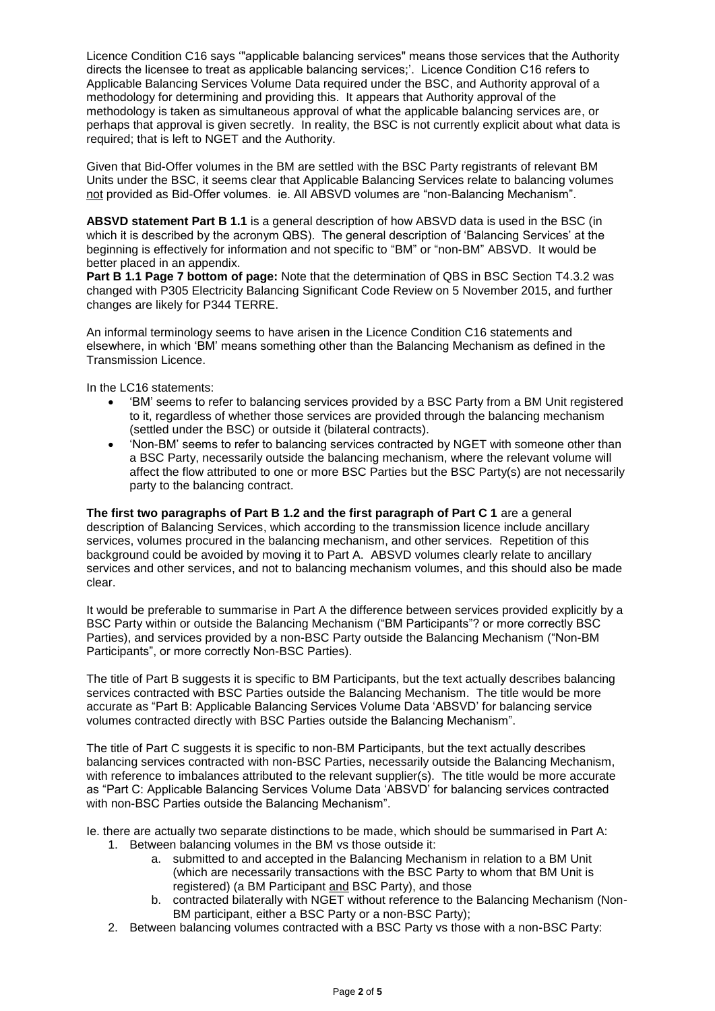Licence Condition C16 says '"applicable balancing services" means those services that the Authority directs the licensee to treat as applicable balancing services;'. Licence Condition C16 refers to Applicable Balancing Services Volume Data required under the BSC, and Authority approval of a methodology for determining and providing this. It appears that Authority approval of the methodology is taken as simultaneous approval of what the applicable balancing services are, or perhaps that approval is given secretly. In reality, the BSC is not currently explicit about what data is required; that is left to NGET and the Authority.

Given that Bid-Offer volumes in the BM are settled with the BSC Party registrants of relevant BM Units under the BSC, it seems clear that Applicable Balancing Services relate to balancing volumes not provided as Bid-Offer volumes. ie. All ABSVD volumes are "non-Balancing Mechanism".

**ABSVD statement Part B 1.1** is a general description of how ABSVD data is used in the BSC (in which it is described by the acronym QBS). The general description of 'Balancing Services' at the beginning is effectively for information and not specific to "BM" or "non-BM" ABSVD. It would be better placed in an appendix.

**Part B 1.1 Page 7 bottom of page:** Note that the determination of QBS in BSC Section T4.3.2 was changed with P305 Electricity Balancing Significant Code Review on 5 November 2015, and further changes are likely for P344 TERRE.

An informal terminology seems to have arisen in the Licence Condition C16 statements and elsewhere, in which 'BM' means something other than the Balancing Mechanism as defined in the Transmission Licence.

In the LC16 statements:

- 'BM' seems to refer to balancing services provided by a BSC Party from a BM Unit registered to it, regardless of whether those services are provided through the balancing mechanism (settled under the BSC) or outside it (bilateral contracts).
- 'Non-BM' seems to refer to balancing services contracted by NGET with someone other than a BSC Party, necessarily outside the balancing mechanism, where the relevant volume will affect the flow attributed to one or more BSC Parties but the BSC Party(s) are not necessarily party to the balancing contract.

**The first two paragraphs of Part B 1.2 and the first paragraph of Part C 1** are a general description of Balancing Services, which according to the transmission licence include ancillary services, volumes procured in the balancing mechanism, and other services. Repetition of this background could be avoided by moving it to Part A. ABSVD volumes clearly relate to ancillary services and other services, and not to balancing mechanism volumes, and this should also be made clear.

It would be preferable to summarise in Part A the difference between services provided explicitly by a BSC Party within or outside the Balancing Mechanism ("BM Participants"? or more correctly BSC Parties), and services provided by a non-BSC Party outside the Balancing Mechanism ("Non-BM Participants", or more correctly Non-BSC Parties).

The title of Part B suggests it is specific to BM Participants, but the text actually describes balancing services contracted with BSC Parties outside the Balancing Mechanism. The title would be more accurate as "Part B: Applicable Balancing Services Volume Data 'ABSVD' for balancing service volumes contracted directly with BSC Parties outside the Balancing Mechanism".

The title of Part C suggests it is specific to non-BM Participants, but the text actually describes balancing services contracted with non-BSC Parties, necessarily outside the Balancing Mechanism, with reference to imbalances attributed to the relevant supplier(s). The title would be more accurate as "Part C: Applicable Balancing Services Volume Data 'ABSVD' for balancing services contracted with non-BSC Parties outside the Balancing Mechanism".

Ie. there are actually two separate distinctions to be made, which should be summarised in Part A: 1. Between balancing volumes in the BM vs those outside it:

- a. submitted to and accepted in the Balancing Mechanism in relation to a BM Unit (which are necessarily transactions with the BSC Party to whom that BM Unit is registered) (a BM Participant and BSC Party), and those
- b. contracted bilaterally with NGET without reference to the Balancing Mechanism (Non-BM participant, either a BSC Party or a non-BSC Party);
- 2. Between balancing volumes contracted with a BSC Party vs those with a non-BSC Party: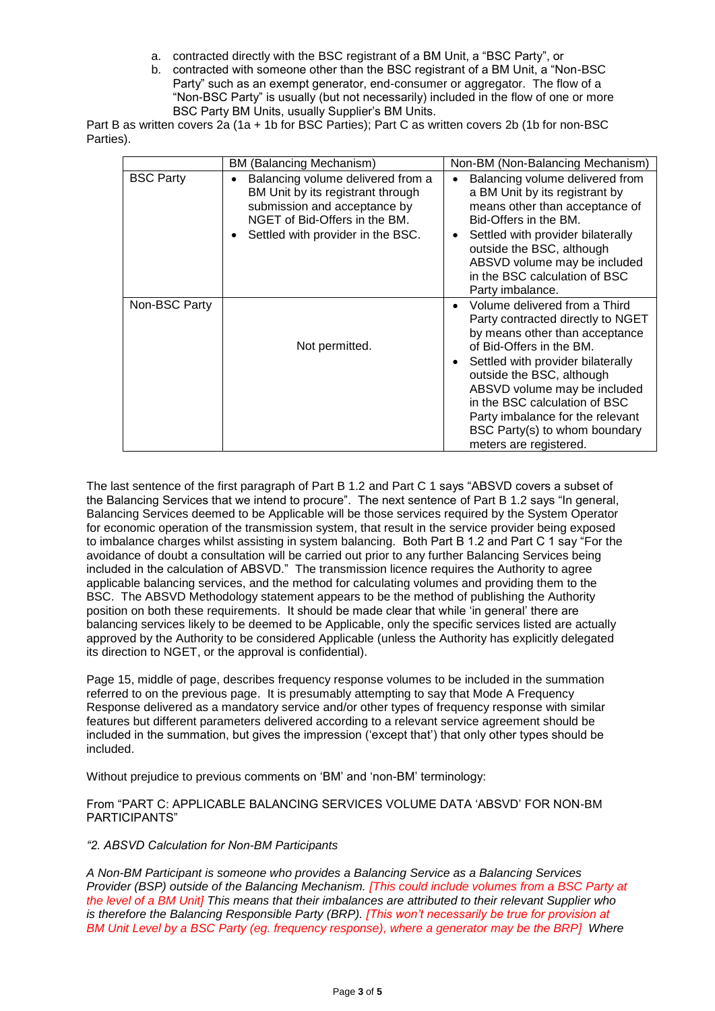- a. contracted directly with the BSC registrant of a BM Unit, a "BSC Party", or
- b. contracted with someone other than the BSC registrant of a BM Unit, a "Non-BSC Party" such as an exempt generator, end-consumer or aggregator. The flow of a "Non-BSC Party" is usually (but not necessarily) included in the flow of one or more BSC Party BM Units, usually Supplier's BM Units.

Part B as written covers 2a (1a + 1b for BSC Parties); Part C as written covers 2b (1b for non-BSC Parties).

|                  | BM (Balancing Mechanism)                                                                                                                                                     | Non-BM (Non-Balancing Mechanism)                                                                                                                                                                                                                                                                                                                                        |  |
|------------------|------------------------------------------------------------------------------------------------------------------------------------------------------------------------------|-------------------------------------------------------------------------------------------------------------------------------------------------------------------------------------------------------------------------------------------------------------------------------------------------------------------------------------------------------------------------|--|
| <b>BSC Party</b> | Balancing volume delivered from a<br>BM Unit by its registrant through<br>submission and acceptance by<br>NGET of Bid-Offers in the BM.<br>Settled with provider in the BSC. | Balancing volume delivered from<br>a BM Unit by its registrant by<br>means other than acceptance of<br>Bid-Offers in the BM.<br>Settled with provider bilaterally<br>outside the BSC, although<br>ABSVD volume may be included<br>in the BSC calculation of BSC<br>Party imbalance.                                                                                     |  |
| Non-BSC Party    | Not permitted.                                                                                                                                                               | Volume delivered from a Third<br>Party contracted directly to NGET<br>by means other than acceptance<br>of Bid-Offers in the BM.<br>Settled with provider bilaterally<br>٠<br>outside the BSC, although<br>ABSVD volume may be included<br>in the BSC calculation of BSC<br>Party imbalance for the relevant<br>BSC Party(s) to whom boundary<br>meters are registered. |  |

The last sentence of the first paragraph of Part B 1.2 and Part C 1 says "ABSVD covers a subset of the Balancing Services that we intend to procure". The next sentence of Part B 1.2 says "In general, Balancing Services deemed to be Applicable will be those services required by the System Operator for economic operation of the transmission system, that result in the service provider being exposed to imbalance charges whilst assisting in system balancing. Both Part B 1.2 and Part C 1 say "For the avoidance of doubt a consultation will be carried out prior to any further Balancing Services being included in the calculation of ABSVD." The transmission licence requires the Authority to agree applicable balancing services, and the method for calculating volumes and providing them to the BSC. The ABSVD Methodology statement appears to be the method of publishing the Authority position on both these requirements. It should be made clear that while 'in general' there are balancing services likely to be deemed to be Applicable, only the specific services listed are actually approved by the Authority to be considered Applicable (unless the Authority has explicitly delegated its direction to NGET, or the approval is confidential).

Page 15, middle of page, describes frequency response volumes to be included in the summation referred to on the previous page. It is presumably attempting to say that Mode A Frequency Response delivered as a mandatory service and/or other types of frequency response with similar features but different parameters delivered according to a relevant service agreement should be included in the summation, but gives the impression ('except that') that only other types should be included.

Without prejudice to previous comments on 'BM' and 'non-BM' terminology:

From "PART C: APPLICABLE BALANCING SERVICES VOLUME DATA 'ABSVD' FOR NON-BM PARTICIPANTS"

## *"2. ABSVD Calculation for Non-BM Participants*

*A Non-BM Participant is someone who provides a Balancing Service as a Balancing Services Provider (BSP) outside of the Balancing Mechanism. [This could include volumes from a BSC Party at the level of a BM Unit] This means that their imbalances are attributed to their relevant Supplier who is therefore the Balancing Responsible Party (BRP). [This won't necessarily be true for provision at BM Unit Level by a BSC Party (eg. frequency response), where a generator may be the BRP] Where*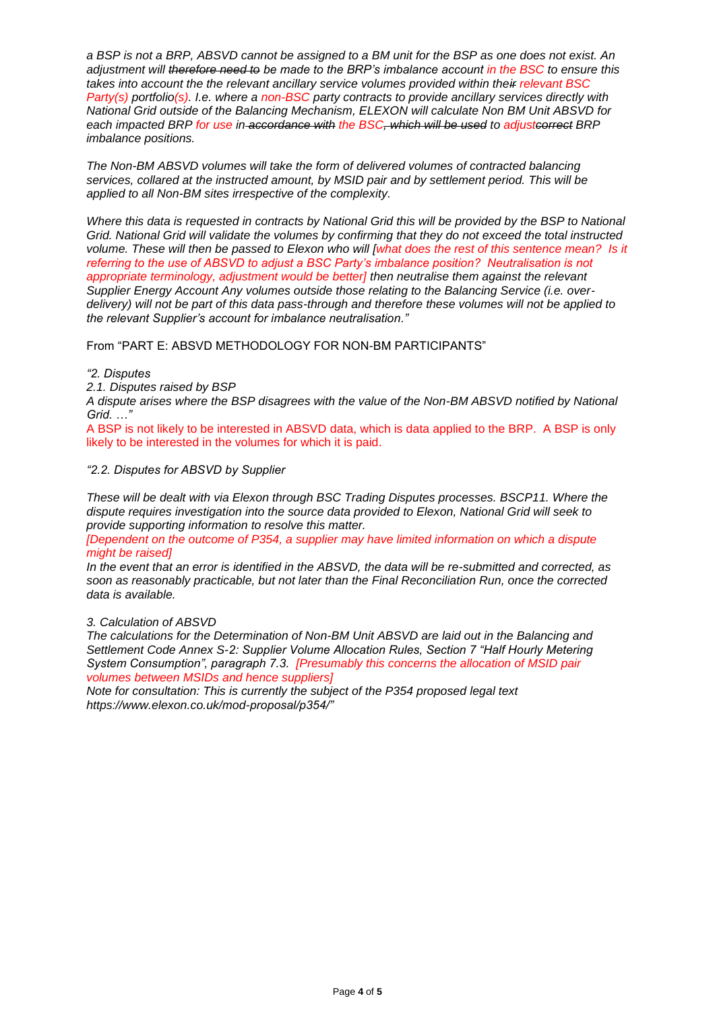*a BSP is not a BRP, ABSVD cannot be assigned to a BM unit for the BSP as one does not exist. An adjustment will therefore need to be made to the BRP's imbalance account in the BSC to ensure this takes into account the the relevant ancillary service volumes provided within their relevant BSC Party(s) portfolio(s). I.e. where a non-BSC party contracts to provide ancillary services directly with National Grid outside of the Balancing Mechanism, ELEXON will calculate Non BM Unit ABSVD for each impacted BRP for use in accordance with the BSC, which will be used to adjustcorrect BRP imbalance positions.* 

*The Non-BM ABSVD volumes will take the form of delivered volumes of contracted balancing services, collared at the instructed amount, by MSID pair and by settlement period. This will be applied to all Non-BM sites irrespective of the complexity.*

*Where this data is requested in contracts by National Grid this will be provided by the BSP to National Grid. National Grid will validate the volumes by confirming that they do not exceed the total instructed volume. These will then be passed to Elexon who will [what does the rest of this sentence mean? Is it referring to the use of ABSVD to adjust a BSC Party's imbalance position? Neutralisation is not appropriate terminology, adjustment would be better] then neutralise them against the relevant Supplier Energy Account Any volumes outside those relating to the Balancing Service (i.e. overdelivery) will not be part of this data pass-through and therefore these volumes will not be applied to the relevant Supplier's account for imbalance neutralisation."*

From "PART E: ABSVD METHODOLOGY FOR NON-BM PARTICIPANTS"

#### *"2. Disputes*

*2.1. Disputes raised by BSP*

*A dispute arises where the BSP disagrees with the value of the Non-BM ABSVD notified by National Grid. …"*

A BSP is not likely to be interested in ABSVD data, which is data applied to the BRP. A BSP is only likely to be interested in the volumes for which it is paid.

#### *"2.2. Disputes for ABSVD by Supplier*

*These will be dealt with via Elexon through BSC Trading Disputes processes. BSCP11. Where the dispute requires investigation into the source data provided to Elexon, National Grid will seek to provide supporting information to resolve this matter.*

*[Dependent on the outcome of P354, a supplier may have limited information on which a dispute might be raised]*

*In the event that an error is identified in the ABSVD, the data will be re-submitted and corrected, as soon as reasonably practicable, but not later than the Final Reconciliation Run, once the corrected data is available.*

#### *3. Calculation of ABSVD*

*The calculations for the Determination of Non-BM Unit ABSVD are laid out in the Balancing and Settlement Code Annex S-2: Supplier Volume Allocation Rules, Section 7 "Half Hourly Metering System Consumption", paragraph 7.3. [Presumably this concerns the allocation of MSID pair volumes between MSIDs and hence suppliers]* 

*Note for consultation: This is currently the subject of the P354 proposed legal text https://www.elexon.co.uk/mod-proposal/p354/"*